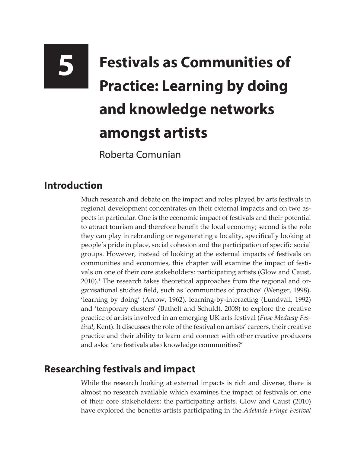# **5 Festivals as Communities of Practice: Learning by doing and knowledge networks amongst artists**

Roberta Comunian

### **Introduction**

Much research and debate on the impact and roles played by arts festivals in regional development concentrates on their external impacts and on two aspects in particular. One is the economic impact of festivals and their potential to attract tourism and therefore benefit the local economy; second is the role they can play in rebranding or regenerating a locality, specifically looking at people's pride in place, social cohesion and the participation of specific social groups. However, instead of looking at the external impacts of festivals on communities and economies, this chapter will examine the impact of festivals on one of their core stakeholders: participating artists (Glow and Caust, 2010).<sup>1</sup> The research takes theoretical approaches from the regional and organisational studies field, such as 'communities of practice' (Wenger, 1998), 'learning by doing' (Arrow, 1962), learning-by-interacting (Lundvall, 1992) and 'temporary clusters' (Bathelt and Schuldt, 2008) to explore the creative practice of artists involved in an emerging UK arts festival (*Fuse Medway Festival*, Kent). It discusses the role of the festival on artists' careers, their creative practice and their ability to learn and connect with other creative producers and asks: *'*are festivals also knowledge communities?'

## **Researching festivals and impact**

While the research looking at external impacts is rich and diverse, there is almost no research available which examines the impact of festivals on one of their core stakeholders: the participating artists. Glow and Caust (2010) have explored the benefits artists participating in the *Adelaide Fringe Festival*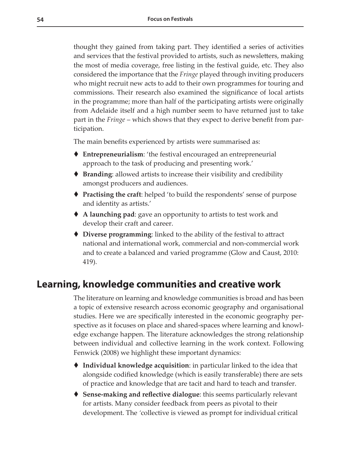thought they gained from taking part. They identified a series of activities and services that the festival provided to artists, such as newsletters, making the most of media coverage, free listing in the festival guide, etc. They also considered the importance that the *Fringe* played through inviting producers who might recruit new acts to add to their own programmes for touring and commissions. Their research also examined the significance of local artists in the programme; more than half of the participating artists were originally from Adelaide itself and a high number seem to have returned just to take part in the *Fringe* – which shows that they expect to derive benefit from participation.

The main benefits experienced by artists were summarised as:

- **Entrepreneurialism**: 'the festival encouraged an entrepreneurial approach to the task of producing and presenting work.'
- **Branding**: allowed artists to increase their visibility and credibility amongst producers and audiences.
- **Practising the craft**: helped 'to build the respondents' sense of purpose and identity as artists.'
- **A launching pad**: gave an opportunity to artists to test work and develop their craft and career.
- **Diverse programming**: linked to the ability of the festival to attract national and international work, commercial and non-commercial work and to create a balanced and varied programme (Glow and Caust, 2010: 419).

#### **Learning, knowledge communities and creative work**

The literature on learning and knowledge communities is broad and has been a topic of extensive research across economic geography and organisational studies. Here we are specifically interested in the economic geography perspective as it focuses on place and shared-spaces where learning and knowledge exchange happen. The literature acknowledges the strong relationship between individual and collective learning in the work context. Following Fenwick (2008) we highlight these important dynamics:

- **Individual knowledge acquisition**: in particular linked to the idea that alongside codified knowledge (which is easily transferable) there are sets of practice and knowledge that are tacit and hard to teach and transfer.
- **Sense-making and reflective dialogue**: this seems particularly relevant for artists. Many consider feedback from peers as pivotal to their development. The *'*collective is viewed as prompt for individual critical